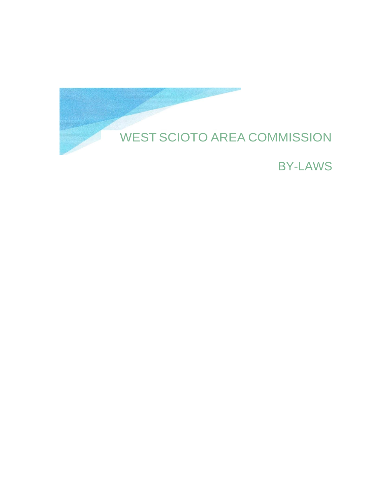

BY-LAWS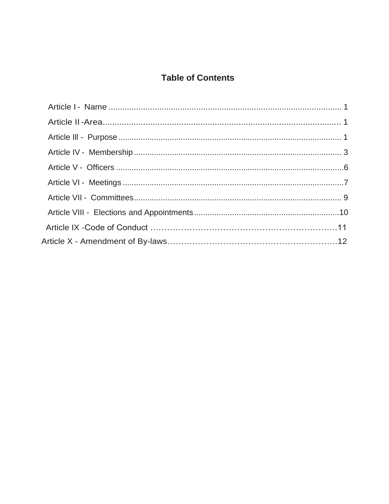# **Table of Contents**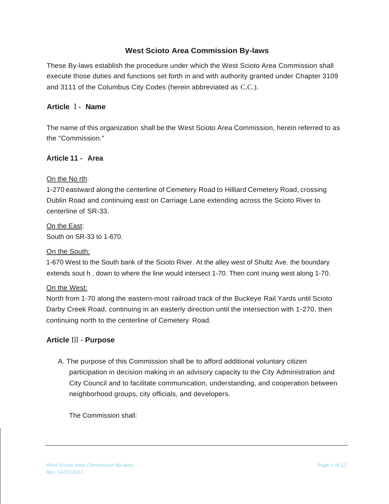## **West Scioto Area Commission By-laws**

These By-laws establish the procedure under which the West Scioto Area Commission shall execute those duties and functions set forth in and with authority granted under Chapter 3109 and 3111 of the Columbus City Codes (herein abbreviated as C.C.).

#### **Article** I - **Name**

The name of this organization shall be the West Scioto Area Commission, herein referred to as the "Commission."

#### **Article 11 - Area**

#### On the No rth:

1-270 eastward along the centerline of Cemetery Road to Hilliard Cemetery Road, crossing Dublin Road and continuing east on Carriage Lane extending across the Scioto River to centerline of SR-33.

On the East: South on SR-33 to 1-670.

#### On the South:

1-670 West to the South bank of the Scioto River. At the alley west of Shultz Ave. the boundary extends sout h , down to where the line would intersect 1-70. Then cont inuing west along 1-70.

#### On the West:

North from 1-70 along the eastern-most railroad track of the Buckeye Rail Yards until Scioto Darby Creek Road, continuing in an easterly direction until the intersection with 1-270, then continuing north to the centerline of Cemetery Road.

#### **Article** Ill - **Purpose**

A. The purpose of this Commission shall be to afford additional voluntary citizen participation in decision making in an advisory capacity to the City Administration and City Council and to facilitate communication, understanding, and cooperation between neighborhood groups, city officials, and developers.

The Commission shall: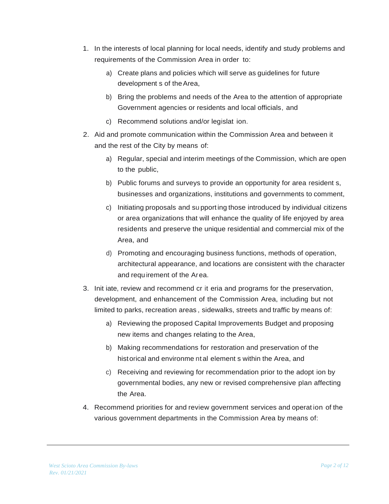- 1. In the interests of local planning for local needs, identify and study problems and requirements of the Commission Area in order to:
	- a) Create plans and policies which will serve as guidelines for future development s of theArea,
	- b) Bring the problems and needs of the Area to the attention of appropriate Government agencies or residents and local officials, and
	- c) Recommend solutions and/or legislat ion.
- 2. Aid and promote communication within the Commission Area and between it and the rest of the City by means of:
	- a) Regular, special and interim meetings of the Commission, which are open to the public,
	- b) Public forums and surveys to provide an opportunity for area resident s, businesses and organizations, institutions and governments to comment,
	- c) Initiating proposals and su pport ing those introduced by individual citizens or area organizations that will enhance the quality of life enjoyed by area residents and preserve the unique residential and commercial mix of the Area, and
	- d) Promoting and encouraging business functions, methods of operation, architectural appearance, and locations are consistent with the character and requirement of the Area.
- 3. Init iate, review and recommend cr it eria and programs for the preservation, development, and enhancement of the Commission Area, including but not limited to parks, recreation areas , sidewalks, streets and traffic by means of:
	- a) Reviewing the proposed Capital Improvements Budget and proposing new items and changes relating to the Area,
	- b) Making recommendations for restoration and preservation of the historical and environme nt al element s within the Area, and
	- c) Receiving and reviewing for recommendation prior to the adopt ion by governmental bodies, any new or revised comprehensive plan affecting the Area.
- 4. Recommend priorities for and review government services and operat ion of the various government departments in the Commission Area by means of: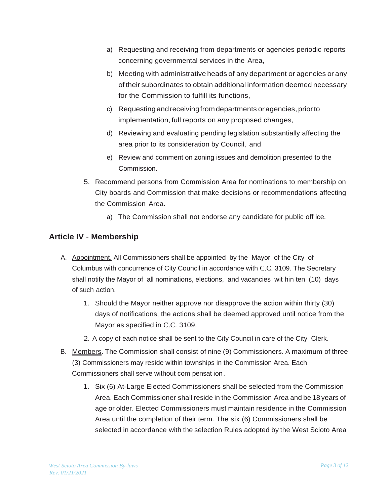- a) Requesting and receiving from departments or agencies periodic reports concerning governmental services in the Area,
- b) Meeting with administrative heads of any department or agencies or any of their subordinates to obtain additional information deemed necessary for the Commission to fulfill its functions,
- c) Requestingandreceivingfromdepartments oragencies,priorto implementation, full reports on any proposed changes,
- d) Reviewing and evaluating pending legislation substantially affecting the area prior to its consideration by Council, and
- e) Review and comment on zoning issues and demolition presented to the Commission.
- 5. Recommend persons from Commission Area for nominations to membership on City boards and Commission that make decisions or recommendations affecting the Commission Area.
	- a) The Commission shall not endorse any candidate for public off ice.

# <span id="page-4-0"></span>**Article IV** - **Membership**

- A. Appointment. All Commissioners shall be appointed by the Mayor of the City of Columbus with concurrence of City Council in accordance with C.C. 3109. The Secretary shall notify the Mayor of all nominations, elections, and vacancies wit hin ten (10) days of such action.
	- 1. Should the Mayor neither approve nor disapprove the action within thirty (30) days of notifications, the actions shall be deemed approved until notice from the Mayor as specified in C.C. 3109.
	- 2. A copy of each notice shall be sent to the City Council in care of the City Clerk.
- B. Members. The Commission shall consist of nine (9) Commissioners. A maximum of three (3) Commissioners may reside within townships in the Commission Area. Each Commissioners shall serve without com pensat ion.
	- 1. Six (6) At-Large Elected Commissioners shall be selected from the Commission Area. Each Commissioner shall reside in the Commission Area and be 18 years of age or older. Elected Commissioners must maintain residence in the Commission Area until the completion of their term. The six (6) Commissioners shall be selected in accordance with the selection Rules adopted by the West Scioto Area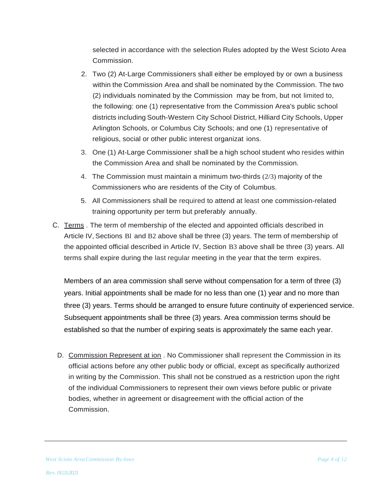selected in accordance with the selection Rules adopted by the West Scioto Area Commission.

- 2. Two (2) At-Large Commissioners shall either be employed by or own a business within the Commission Area and shall be nominated by the Commission. The two (2) individuals nominated by the Commission may be from, but not limited to, the following: one (1) representative from the Commission Area's public school districts including South-Western City School District, Hilliard City Schools, Upper Arlington Schools, or Columbus City Schools; and one (1) representative of religious, social or other public interest organizat ions.
- 3. One (1) At-Large Commissioner shall be a high school student who resides within the Commission Area and shall be nominated by the Commission.
- 4. The Commission must maintain a minimum two-thirds (2/3) majority of the Commissioners who are residents of the City of Columbus.
- 5. All Commissioners shall be required to attend at least one commission-related training opportunity per term but preferably annually.
- C. Terms . The term of membership of the elected and appointed officials described in Article IV, Sections Bl and B2 above shall be three (3) years. The term of membership of the appointed official described in Article IV, Section B3 above shall be three (3) years. All terms shall expire during the last regular meeting in the year that the term expires.

Members of an area commission shall serve without compensation for a term of three (3) years. Initial appointments shall be made for no less than one (1) year and no more than three (3) years. Terms should be arranged to ensure future continuity of experienced service. Subsequent appointments shall be three (3) years. Area commission terms should be established so that the number of expiring seats is approximately the same each year.

D. Commission Represent at ion . No Commissioner shall represent the Commission in its official actions before any other public body or official, except as specifically authorized in writing by the Commission. This shall not be construed as a restriction upon the right of the individual Commissioners to represent their own views before public or private bodies, whether in agreement or disagreement with the official action of the Commission.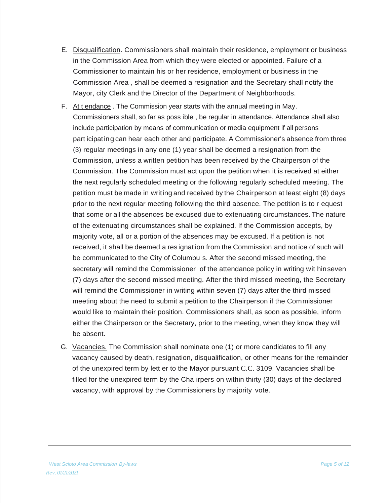- E. Disqualification. Commissioners shall maintain their residence, employment or business in the Commission Area from which they were elected or appointed. Failure of a Commissioner to maintain his or her residence, employment or business in the Commission Area , shall be deemed a resignation and the Secretary shall notify the Mayor, city Clerk and the Director of the Department of Neighborhoods.
- F. At t endance . The Commission year starts with the annual meeting in May. Commissioners shall, so far as poss ible , be regular in attendance. Attendance shall also include participation by means of communication or media equipment if all persons part icipating can hear each other and participate. A Commissioner's absence from three (3) regular meetings in any one (1) year shall be deemed a resignation from the Commission, unless a written petition has been received by the Chairperson of the Commission. The Commission must act upon the petition when it is received at either the next regularly scheduled meeting or the following regularly scheduled meeting. The petition must be made in writing and received by the Chairperso n at least eight (8) days prior to the next regular meeting following the third absence. The petition is to r equest that some or all the absences be excused due to extenuating circumstances. The nature of the extenuating circumstances shall be explained. If the Commission accepts, by majority vote, all or a portion of the absences may be excused. If a petition is not received, it shall be deemed a res ignat ion from the Commission and not ice of such will be communicated to the City of Columbu s. After the second missed meeting, the secretary will remind the Commissioner of the attendance policy in writing wit hinseven (7) days after the second missed meeting. After the third missed meeting, the Secretary will remind the Commissioner in writing within seven (7) days after the third missed meeting about the need to submit a petition to the Chairperson if the Commissioner would like to maintain their position. Commissioners shall, as soon as possible, inform either the Chairperson or the Secretary, prior to the meeting, when they know they will be absent.
- G. Vacancies. The Commission shall nominate one (1) or more candidates to fill any vacancy caused by death, resignation, disqualification, or other means for the remainder of the unexpired term by lett er to the Mayor pursuant C.C. 3109. Vacancies shall be filled for the unexpired term by the Cha irpers on within thirty (30) days of the declared vacancy, with approval by the Commissioners by majority vote.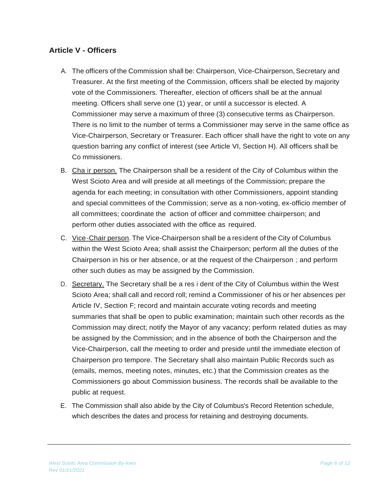## <span id="page-7-0"></span>**Article V - Officers**

- A. The officers of the Commission shall be: Chairperson, Vice-Chairperson, Secretary and Treasurer. At the first meeting of the Commission, officers shall be elected by majority vote of the Commissioners. Thereafter, election of officers shall be at the annual meeting. Officers shall serve one (1) year, or until a successor is elected. A Commissioner may serve a maximum of three (3) consecutive terms as Chairperson. There is no limit to the number of terms a Commissioner may serve in the same office as Vice-Chairperson, Secretary or Treasurer. Each officer shall have the right to vote on any question barring any conflict of interest (see Article VI, Section H). All officers shall be Co mmissioners.
- B. Cha ir person. The Chairperson shall be a resident of the City of Columbus within the West Scioto Area and will preside at all meetings of the Commission; prepare the agenda for each meeting; in consultation with other Commissioners, appoint standing and special committees of the Commission; serve as a non-voting, ex-officio member of all committees; coordinate the action of officer and committee chairperson; and perform other duties associated with the office as required.
- C. Vice-Chair person. The Vice-Chairperson shall be a resident of the City of Columbus within the West Scioto Area; shall assist the Chairperson; perform all the duties of the Chairperson in his or her absence, or at the request of the Chairperson ; and perform other such duties as may be assigned by the Commission.
- D. Secretary. The Secretary shall be a res i dent of the City of Columbus within the West Scioto Area; shall call and record roll; remind a Commissioner of his or her absences per Article IV, Section F; record and maintain accurate voting records and meeting summaries that shall be open to public examination; maintain such other records as the Commission may direct; notify the Mayor of any vacancy; perform related duties as may be assigned by the Commission; and in the absence of both the Chairperson and the Vice-Chairperson, call the meeting to order and preside until the immediate election of Chairperson pro tempore. The Secretary shall also maintain Public Records such as (emails, memos, meeting notes, minutes, etc.) that the Commission creates as the Commissioners go about Commission business. The records shall be available to the public at request.
- E. The Commission shall also abide by the City of Columbus's Record Retention schedule, which describes the dates and process for retaining and destroying documents.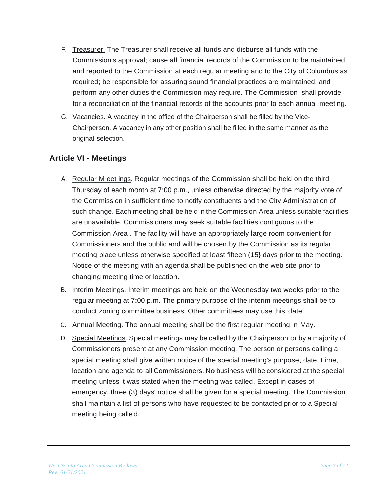- F. Treasurer. The Treasurer shall receive all funds and disburse all funds with the Commission's approval; cause all financial records of the Commission to be maintained and reported to the Commission at each regular meeting and to the City of Columbus as required; be responsible for assuring sound financial practices are maintained; and perform any other duties the Commission may require. The Commission shall provide for a reconciliation of the financial records of the accounts prior to each annual meeting.
- G. Vacancies. A vacancy in the office of the Chairperson shall be filled by the Vice-Chairperson. A vacancy in any other position shall be filled in the same manner as the original selection.

## <span id="page-8-0"></span>**Article VI** - **Meetings**

- A. Regular M eet ings. Regular meetings of the Commission shall be held on the third Thursday of each month at 7:00 p.m., unless otherwise directed by the majority vote of the Commission in sufficient time to notify constituents and the City Administration of such change. Each meeting shall be held in the Commission Area unless suitable facilities are unavailable. Commissioners may seek suitable facilities contiguous to the Commission Area . The facility will have an appropriately large room convenient for Commissioners and the public and will be chosen by the Commission as its regular meeting place unless otherwise specified at least fifteen (15} days prior to the meeting. Notice of the meeting with an agenda shall be published on the web site prior to changing meeting time or location.
- B. Interim Meetings. Interim meetings are held on the Wednesday two weeks prior to the regular meeting at 7:00 p.m. The primary purpose of the interim meetings shall be to conduct zoning committee business. Other committees may use this date.
- C. Annual Meeting. The annual meeting shall be the first regular meeting in May.
- D. Special Meetings. Special meetings may be called by the Chairperson or by a majority of Commissioners present at any Commission meeting. The person or persons calling a special meeting shall give written notice of the special meeting's purpose, date, t ime, location and agenda to all Commissioners. No business will be considered at the special meeting unless it was stated when the meeting was called. Except in cases of emergency, three (3) days' notice shall be given for a special meeting. The Commission shall maintain a list of persons who have requested to be contacted prior to a Special meeting being called.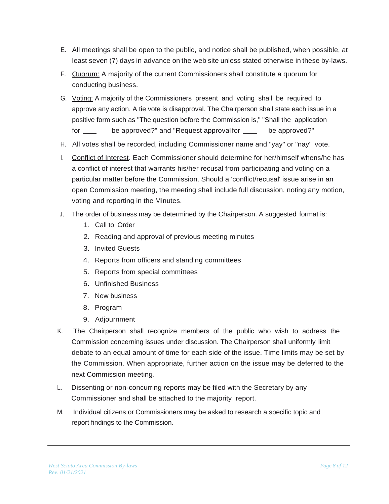- E. All meetings shall be open to the public, and notice shall be published, when possible, at least seven (7) days in advance on the web site unless stated otherwise in these by-laws.
- F. Quorum: A majority of the current Commissioners shall constitute a quorum for conducting business.
- G. Voting: A majority of the Commissioners present and voting shall be required to approve any action. A tie vote is disapproval. The Chairperson shall state each issue in a positive form such as "The question before the Commission is," "Shall the application for be approved?" and "Request approval for be approved?"
- H. All votes shall be recorded, including Commissioner name and "yay" or "nay" vote.
- I. Conflict of Interest. Each Commissioner should determine for her/himself whens/he has a conflict of interest that warrants his/her recusal from participating and voting on a particular matter before the Commission. Should a 'conflict/recusal' issue arise in an open Commission meeting, the meeting shall include full discussion, noting any motion, voting and reporting in the Minutes.
- J. The order of business may be determined by the Chairperson. A suggested format is:
	- 1. Call to Order
	- 2. Reading and approval of previous meeting minutes
	- 3. Invited Guests
	- 4. Reports from officers and standing committees
	- 5. Reports from special committees
	- 6. Unfinished Business
	- 7. New business
	- 8. Program
	- 9. Adjournment
- K. The Chairperson shall recognize members of the public who wish to address the Commission concerning issues under discussion. The Chairperson shall uniformly limit debate to an equal amount of time for each side of the issue. Time limits may be set by the Commission. When appropriate, further action on the issue may be deferred to the next Commission meeting.
- L. Dissenting or non-concurring reports may be filed with the Secretary by any Commissioner and shall be attached to the majority report.
- M. Individual citizens or Commissioners may be asked to research a specific topic and report findings to the Commission.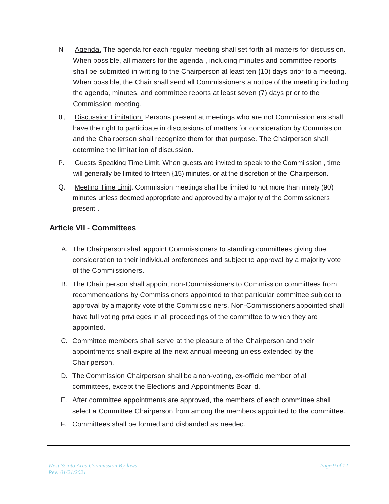- N. Agenda. The agenda for each regular meeting shall set forth all matters for discussion. When possible, all matters for the agenda , including minutes and committee reports shall be submitted in writing to the Chairperson at least ten {10) days prior to a meeting. When possible, the Chair shall send all Commissioners a notice of the meeting including the agenda, minutes, and committee reports at least seven (7) days prior to the Commission meeting.
- 0. Discussion Limitation. Persons present at meetings who are not Commission ers shall have the right to participate in discussions of matters for consideration by Commission and the Chairperson shall recognize them for that purpose. The Chairperson shall determine the limitat ion of discussion.
- P. Guests Speaking Time Limit. When guests are invited to speak to the Commi ssion , time will generally be limited to fifteen  $(15)$  minutes, or at the discretion of the Chairperson.
- Q. Meeting Time Limit. Commission meetings shall be limited to not more than ninety (90) minutes unless deemed appropriate and approved by a majority of the Commissioners present .

## <span id="page-10-0"></span>**Article VII** - **Committees**

- A. The Chairperson shall appoint Commissioners to standing committees giving due consideration to their individual preferences and subject to approval by a majority vote of the Commi ssioners.
- B. The Chair person shall appoint non-Commissioners to Commission committees from recommendations by Commissioners appointed to that particular committee subject to approval by a majority vote of the Commissio ners. Non-Commissioners appointed shall have full voting privileges in all proceedings of the committee to which they are appointed.
- C. Committee members shall serve at the pleasure of the Chairperson and their appointments shall expire at the next annual meeting unless extended by the Chair person.
- D. The Commission Chairperson shall be a non-voting, ex-officio member of all committees, except the Elections and Appointments Boar d.
- E. After committee appointments are approved, the members of each committee shall select a Committee Chairperson from among the members appointed to the committee.
- F. Committees shall be formed and disbanded as needed.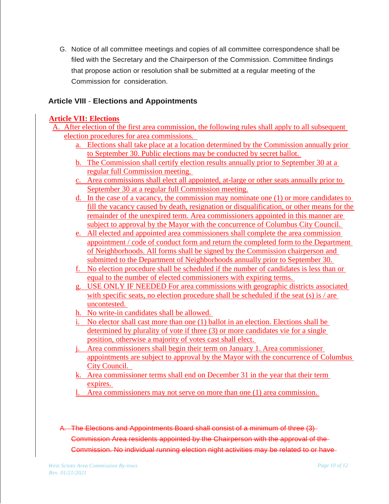G. Notice of all committee meetings and copies of all committee correspondence shall be filed with the Secretary and the Chairperson of the Commission. Committee findings that propose action or resolution shall be submitted at a regular meeting of the Commission for consideration.

## <span id="page-11-0"></span>**Article VIII** - **Elections and Appointments**

## **Article VII: Elections**

- A. After election of the first area commission, the following rules shall apply to all subsequent election procedures for area commissions.
	- a. Elections shall take place at a location determined by the Commission annually prior to September 30. Public elections may be conducted by secret ballot.
	- b. The Commission shall certify election results annually prior to September 30 at a regular full Commission meeting.
	- c. Area commissions shall elect all appointed, at-large or other seats annually prior to September 30 at a regular full Commission meeting.
	- d. In the case of a vacancy, the commission may nominate one (1) or more candidates to fill the vacancy caused by death, resignation or disqualification, or other means for the remainder of the unexpired term. Area commissioners appointed in this manner are subject to approval by the Mayor with the concurrence of Columbus City Council.
	- e. All elected and appointed area commissioners shall complete the area commission appointment / code of conduct form and return the completed form to the Department of Neighborhoods. All forms shall be signed by the Commission chairperson and submitted to the Department of Neighborhoods annually prior to September 30.
	- f. No election procedure shall be scheduled if the number of candidates is less than or equal to the number of elected commissioners with expiring terms.
	- g. USE ONLY IF NEEDED For area commissions with geographic districts associated with specific seats, no election procedure shall be scheduled if the seat (s) is / are uncontested.
	- h. No write-in candidates shall be allowed.
	- i. No elector shall cast more than one (1) ballot in an election. Elections shall be determined by plurality of vote if three (3) or more candidates vie for a single position, otherwise a majority of votes cast shall elect.
	- j. Area commissioners shall begin their term on January 1. Area commissioner appointments are subject to approval by the Mayor with the concurrence of Columbus City Council.
	- k. Area commissioner terms shall end on December 31 in the year that their term expires.
	- l. Area commissioners may not serve on more than one (1) area commission.

# A. The Elections and Appointments Board shall consist of a minimum of three (3) Commission Area residents appointed by the Chairperson with the approval of the Commission. No individual running election night activities may be related to or have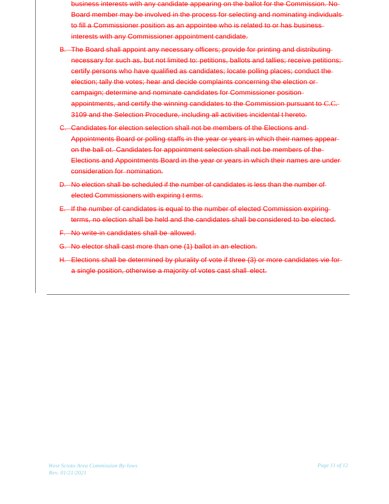- business interests with any candidate appearing on the ballot for the Commission. No Board member may be involved in the process for selecting and nominating individuals to fill a Commissioner position as an appointee who is related to or has businessinterests with any Commissioner appointment candidate.
- B. The Board shall appoint any necessary officers; provide for printing and distributing necessary for such as, but not limited to: petitions, ballots and tallies; receive petitions; certify persons who have qualified as candidates; locate polling places; conduct the election; tally the votes; hear and decide complaints concerning the election or campaign; determine and nominate candidates for Commissioner position appointments, and certify the winning candidates to the Commission pursuant to C.C. 3109 and the Selection Procedure, including all activities incidental t hereto.
- C. Candidates for election selection shall not be members of the Elections and Appointments Board or polling staffs in the year or years in which their names appear on the ball ot. Candidates for appointment selection shall not be members of the Elections and Appointments Board in the year or years in which their names are under consideration for nomination.
- D. No election shall be scheduled if the number of candidates is less than the number of elected Commissioners with expiring t erms.
- E. If the number of candidates is equal to the number of elected Commission expiring terms, no election shall be held and the candidates shall be considered to be elected.
- F. No write-in candidates shall be allowed.
- G. No elector shall cast more than one (1) ballot in an election.
- H. Elections shall be determined by plurality of vote if three (3) or more candidates vie for a single position, otherwise a majority of votes cast shall elect.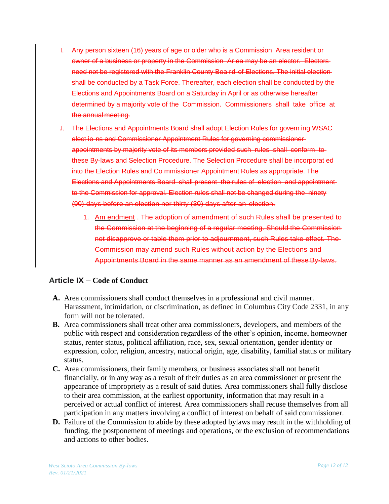- I. Any person sixteen (16) years of age or older who is a Commission Area resident or owner of a business or property in the Commission Ar ea may be an elector. Electors need not be registered with the Franklin County Boa rd of Elections. The initial election shall be conducted by a Task Force. Thereafter, each election shall be conducted by the Elections and Appointments Board on a Saturday in April or as otherwise hereafter determined by a majority vote of the Commission. Commissioners shall take office at the annual meeting.
- The Elections and Appointments Board shall adopt Election Rules for govern ing WSAC elect io ns and Commissioner Appointment Rules for governing commissioner appointments by majority vote of its members provided such rules shall conform to these By-laws and Selection Procedure. The Selection Procedure shall be incorporat ed into the Election Rules and Co mmissioner Appointment Rules as appropriate. The Elections and Appointments Board shall present the rules of election and appointment to the Commission for approval. Election rules shall not be changed during the ninety (90) days before an election nor thirty (30) days after an election.
	- 1. Am endment . The adoption of amendment of such Rules shall be presented to the Commission at the beginning of a regular meeting. Should the Commission not disapprove or table them prior to adjournment, such Rules take effect. The Commission may amend such Rules without action by the Elections and Appointments Board in the same manner as an amendment of these By-laws.

## <span id="page-13-0"></span>**Article IX** – **Code of Conduct**

- **A.** Area commissioners shall conduct themselves in a professional and civil manner. Harassment, intimidation, or discrimination, as defined in Columbus City Code 2331, in any form will not be tolerated.
- **B.** Area commissioners shall treat other area commissioners, developers, and members of the public with respect and consideration regardless of the other's opinion, income, homeowner status, renter status, political affiliation, race, sex, sexual orientation, gender identity or expression, color, religion, ancestry, national origin, age, disability, familial status or military status.
- **C.** Area commissioners, their family members, or business associates shall not benefit financially, or in any way as a result of their duties as an area commissioner or present the appearance of impropriety as a result of said duties. Area commissioners shall fully disclose to their area commission, at the earliest opportunity, information that may result in a perceived or actual conflict of interest. Area commissioners shall recuse themselves from all participation in any matters involving a conflict of interest on behalf of said commissioner.
- **D.** Failure of the Commission to abide by these adopted bylaws may result in the withholding of funding, the postponement of meetings and operations, or the exclusion of recommendations and actions to other bodies.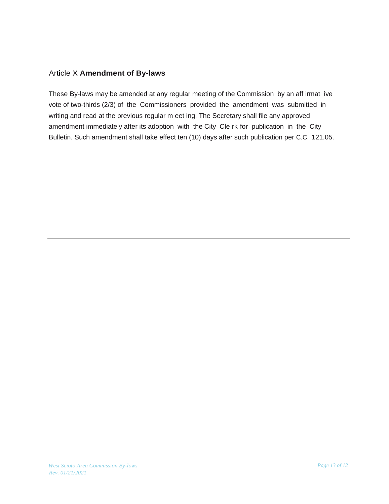#### Article X **Amendment of By-laws**

These By-laws may be amended at any regular meeting of the Commission by an aff irmat ive vote of two-thirds (2/3) of the Commissioners provided the amendment was submitted in writing and read at the previous regular m eet ing. The Secretary shall file any approved amendment immediately after its adoption with the City Cle rk for publication in the City Bulletin. Such amendment shall take effect ten (10) days after such publication per C.C. 121.05.